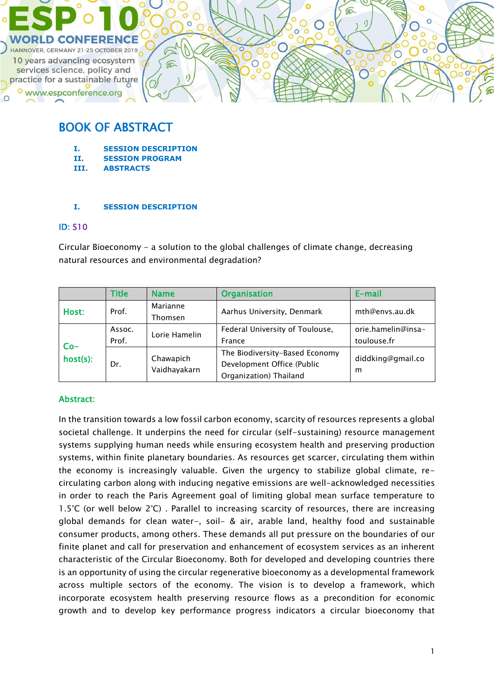

# BOOK OF ABSTRACT

- **I. SESSION DESCRIPTION**
- **II. SESSION PROGRAM**
- **III. ABSTRACTS**

#### **I. SESSION DESCRIPTION**

#### ID: S10

Circular Bioeconomy - a solution to the global challenges of climate change, decreasing natural resources and environmental degradation?

|                   | <b>Title</b>    | <b>Name</b>               | <b>Organisation</b>                                                                    | E-mail                            |
|-------------------|-----------------|---------------------------|----------------------------------------------------------------------------------------|-----------------------------------|
| Host:             | Prof.           | Marianne<br>Thomsen       | Aarhus University, Denmark                                                             | mth@envs.au.dk                    |
| $Co-$<br>host(s): | Assoc.<br>Prof. | Lorie Hamelin             | Federal University of Toulouse,<br>France                                              | orie.hamelin@insa-<br>toulouse.fr |
|                   | Dr.             | Chawapich<br>Vaidhayakarn | The Biodiversity-Based Economy<br>Development Office (Public<br>Organization) Thailand | diddking@gmail.co<br>m            |

## Abstract:

In the transition towards a low fossil carbon economy, scarcity of resources represents a global societal challenge. It underpins the need for circular (self-sustaining) resource management systems supplying human needs while ensuring ecosystem health and preserving production systems, within finite planetary boundaries. As resources get scarcer, circulating them within the economy is increasingly valuable. Given the urgency to stabilize global climate, recirculating carbon along with inducing negative emissions are well-acknowledged necessities in order to reach the Paris Agreement goal of limiting global mean surface temperature to 1.5°C (or well below 2°C) . Parallel to increasing scarcity of resources, there are increasing global demands for clean water-, soil- & air, arable land, healthy food and sustainable consumer products, among others. These demands all put pressure on the boundaries of our finite planet and call for preservation and enhancement of ecosystem services as an inherent characteristic of the Circular Bioeconomy. Both for developed and developing countries there is an opportunity of using the circular regenerative bioeconomy as a developmental framework across multiple sectors of the economy. The vision is to develop a framework, which incorporate ecosystem health preserving resource flows as a precondition for economic growth and to develop key performance progress indicators a circular bioeconomy that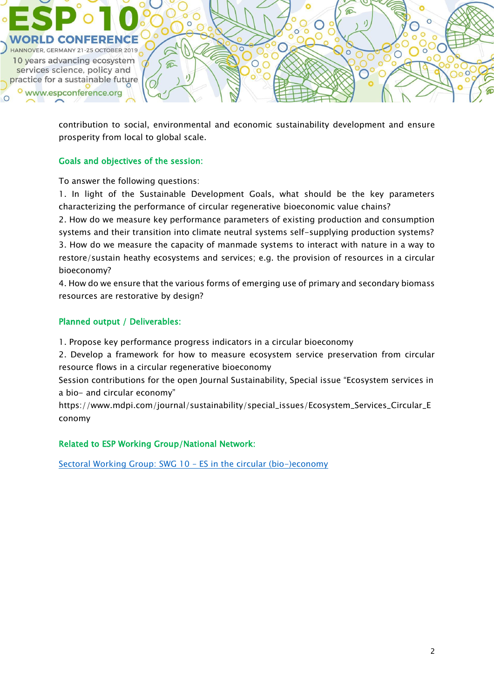

contribution to social, environmental and economic sustainability development and ensure prosperity from local to global scale.

## Goals and objectives of the session:

To answer the following questions:

1. In light of the Sustainable Development Goals, what should be the key parameters characterizing the performance of circular regenerative bioeconomic value chains?

2. How do we measure key performance parameters of existing production and consumption systems and their transition into climate neutral systems self-supplying production systems? 3. How do we measure the capacity of manmade systems to interact with nature in a way to restore/sustain heathy ecosystems and services; e.g. the provision of resources in a circular bioeconomy?

4. How do we ensure that the various forms of emerging use of primary and secondary biomass resources are restorative by design?

## Planned output / Deliverables:

1. Propose key performance progress indicators in a circular bioeconomy

2. Develop a framework for how to measure ecosystem service preservation from circular resource flows in a circular regenerative bioeconomy

Session contributions for the open Journal Sustainability, Special issue "Ecosystem services in a bio- and circular economy"

https://www.mdpi.com/journal/sustainability/special\_issues/Ecosystem\_Services\_Circular\_E conomy

## Related to ESP Working Group/National Network:

[Sectoral Working Group: SWG 10](https://www.es-partnership.org/swg-10-es-in-the-circular-bio-economy/) – ES in the circular (bio-)economy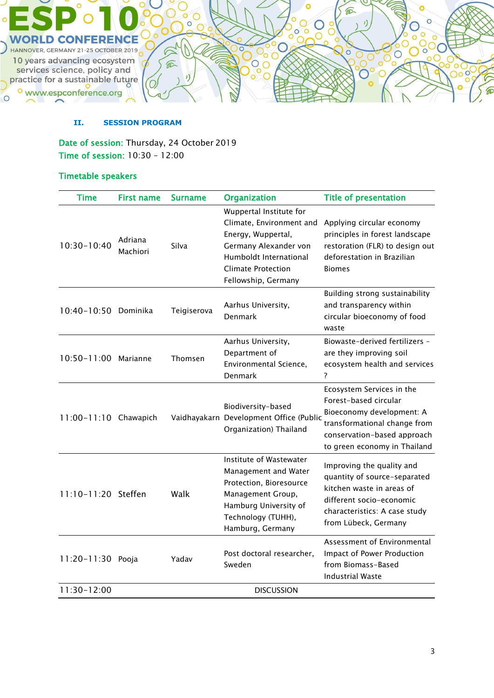

#### **II. SESSION PROGRAM**

Date of session: Thursday, 24 October 2019 Time of session: 10:30 – 12:00

## Timetable speakers

| <b>Time</b>           | <b>First name</b>   | <b>Surname</b> | <b>Organization</b>                                                                                                                                                              | <b>Title of presentation</b>                                                                                                                                                   |
|-----------------------|---------------------|----------------|----------------------------------------------------------------------------------------------------------------------------------------------------------------------------------|--------------------------------------------------------------------------------------------------------------------------------------------------------------------------------|
| $10:30 - 10:40$       | Adriana<br>Machiori | Silva          | Wuppertal Institute for<br>Climate, Environment and<br>Energy, Wuppertal,<br>Germany Alexander von<br>Humboldt International<br><b>Climate Protection</b><br>Fellowship, Germany | Applying circular economy<br>principles in forest landscape<br>restoration (FLR) to design out<br>deforestation in Brazilian<br><b>Biomes</b>                                  |
| 10:40-10:50 Dominika  |                     | Teigiserova    | Aarhus University,<br>Denmark                                                                                                                                                    | Building strong sustainability<br>and transparency within<br>circular bioeconomy of food<br>waste                                                                              |
| 10:50-11:00 Marianne  |                     | Thomsen        | Aarhus University,<br>Department of<br>Environmental Science,<br>Denmark                                                                                                         | Biowaste-derived fertilizers -<br>are they improving soil<br>ecosystem health and services<br>?                                                                                |
| 11:00-11:10 Chawapich |                     |                | Biodiversity-based<br>Vaidhayakarn Development Office (Public<br>Organization) Thailand                                                                                          | Ecosystem Services in the<br>Forest-based circular<br>Bioeconomy development: A<br>transformational change from<br>conservation-based approach<br>to green economy in Thailand |
| 11:10-11:20 Steffen   |                     | Walk           | Institute of Wastewater<br>Management and Water<br>Protection, Bioresource<br>Management Group,<br>Hamburg University of<br>Technology (TUHH),<br>Hamburg, Germany               | Improving the quality and<br>quantity of source-separated<br>kitchen waste in areas of<br>different socio-economic<br>characteristics: A case study<br>from Lübeck, Germany    |
| 11:20-11:30 Pooja     |                     | Yadav          | Post doctoral researcher,<br>Sweden                                                                                                                                              | Assessment of Environmental<br>Impact of Power Production<br>from Biomass-Based<br><b>Industrial Waste</b>                                                                     |
| 11:30-12:00           |                     |                | <b>DISCUSSION</b>                                                                                                                                                                |                                                                                                                                                                                |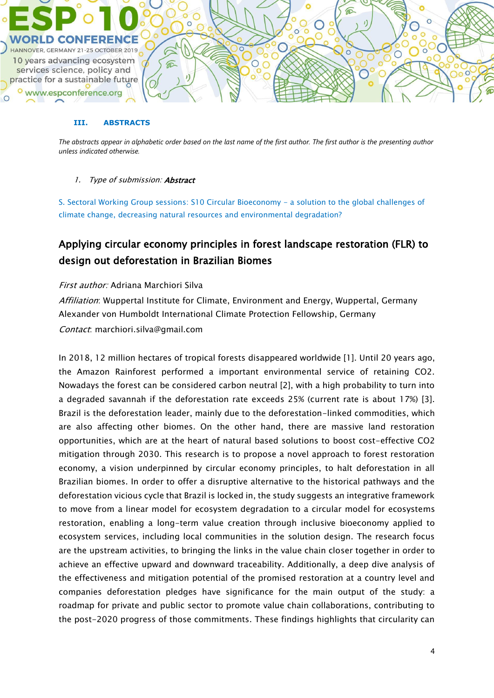

#### **III. ABSTRACTS**

*The abstracts appear in alphabetic order based on the last name of the first author. The first author is the presenting author unless indicated otherwise.*

#### 1. Type of submission: **Abstract**

S. Sectoral Working Group sessions: S10 Circular Bioeconomy - a solution to the global challenges of climate change, decreasing natural resources and environmental degradation?

# Applying circular economy principles in forest landscape restoration (FLR) to design out deforestation in Brazilian Biomes

#### First author: Adriana Marchiori Silva

Affiliation: Wuppertal Institute for Climate, Environment and Energy, Wuppertal, Germany Alexander von Humboldt International Climate Protection Fellowship, Germany Contact: marchiori.silva@gmail.com

In 2018, 12 million hectares of tropical forests disappeared worldwide [1]. Until 20 years ago, the Amazon Rainforest performed a important environmental service of retaining CO2. Nowadays the forest can be considered carbon neutral [2], with a high probability to turn into a degraded savannah if the deforestation rate exceeds 25% (current rate is about 17%) [3]. Brazil is the deforestation leader, mainly due to the deforestation-linked commodities, which are also affecting other biomes. On the other hand, there are massive land restoration opportunities, which are at the heart of natural based solutions to boost cost-effective CO2 mitigation through 2030. This research is to propose a novel approach to forest restoration economy, a vision underpinned by circular economy principles, to halt deforestation in all Brazilian biomes. In order to offer a disruptive alternative to the historical pathways and the deforestation vicious cycle that Brazil is locked in, the study suggests an integrative framework to move from a linear model for ecosystem degradation to a circular model for ecosystems restoration, enabling a long-term value creation through inclusive bioeconomy applied to ecosystem services, including local communities in the solution design. The research focus are the upstream activities, to bringing the links in the value chain closer together in order to achieve an effective upward and downward traceability. Additionally, a deep dive analysis of the effectiveness and mitigation potential of the promised restoration at a country level and companies deforestation pledges have significance for the main output of the study: a roadmap for private and public sector to promote value chain collaborations, contributing to the post-2020 progress of those commitments. These findings highlights that circularity can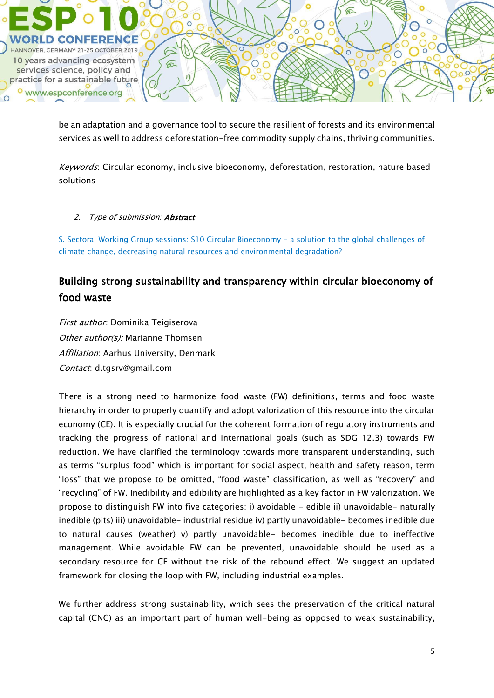

be an adaptation and a governance tool to secure the resilient of forests and its environmental services as well to address deforestation-free commodity supply chains, thriving communities.

Keywords: Circular economy, inclusive bioeconomy, deforestation, restoration, nature based solutions

#### 2. Type of submission: **Abstract**

S. Sectoral Working Group sessions: S10 Circular Bioeconomy - a solution to the global challenges of climate change, decreasing natural resources and environmental degradation?

## Building strong sustainability and transparency within circular bioeconomy of food waste

First author: Dominika Teigiserova Other author(s): Marianne Thomsen Affiliation: Aarhus University, Denmark Contact: d.tgsrv@gmail.com

There is a strong need to harmonize food waste (FW) definitions, terms and food waste hierarchy in order to properly quantify and adopt valorization of this resource into the circular economy (CE). It is especially crucial for the coherent formation of regulatory instruments and tracking the progress of national and international goals (such as SDG 12.3) towards FW reduction. We have clarified the terminology towards more transparent understanding, such as terms "surplus food" which is important for social aspect, health and safety reason, term "loss" that we propose to be omitted, "food waste" classification, as well as "recovery" and "recycling" of FW. Inedibility and edibility are highlighted as a key factor in FW valorization. We propose to distinguish FW into five categories: i) avoidable - edible ii) unavoidable- naturally inedible (pits) iii) unavoidable- industrial residue iv) partly unavoidable- becomes inedible due to natural causes (weather) v) partly unavoidable- becomes inedible due to ineffective management. While avoidable FW can be prevented, unavoidable should be used as a secondary resource for CE without the risk of the rebound effect. We suggest an updated framework for closing the loop with FW, including industrial examples.

We further address strong sustainability, which sees the preservation of the critical natural capital (CNC) as an important part of human well-being as opposed to weak sustainability,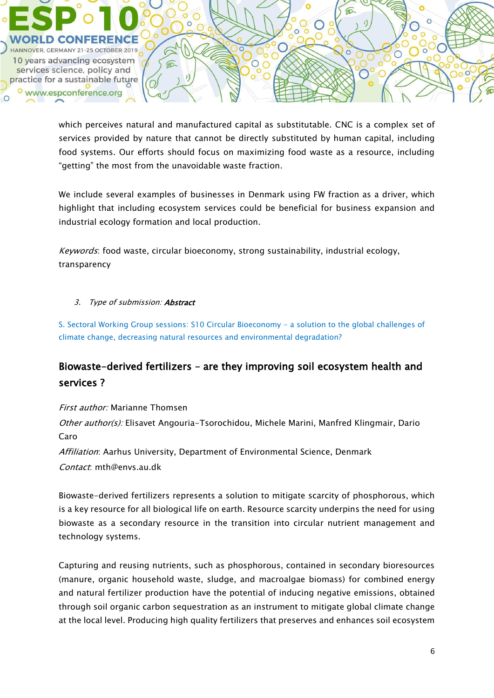

which perceives natural and manufactured capital as substitutable. CNC is a complex set of services provided by nature that cannot be directly substituted by human capital, including food systems. Our efforts should focus on maximizing food waste as a resource, including "getting" the most from the unavoidable waste fraction.

We include several examples of businesses in Denmark using FW fraction as a driver, which highlight that including ecosystem services could be beneficial for business expansion and industrial ecology formation and local production.

Keywords: food waste, circular bioeconomy, strong sustainability, industrial ecology, transparency

## 3. Type of submission: **Abstract**

S. Sectoral Working Group sessions: S10 Circular Bioeconomy - a solution to the global challenges of climate change, decreasing natural resources and environmental degradation?

## Biowaste-derived fertilizers – are they improving soil ecosystem health and services ?

First author: Marianne Thomsen Other author(s): Elisavet Angouria-Tsorochidou, Michele Marini, Manfred Klingmair, Dario Caro

Affiliation: Aarhus University, Department of Environmental Science, Denmark Contact: mth@envs.au.dk

Biowaste-derived fertilizers represents a solution to mitigate scarcity of phosphorous, which is a key resource for all biological life on earth. Resource scarcity underpins the need for using biowaste as a secondary resource in the transition into circular nutrient management and technology systems.

Capturing and reusing nutrients, such as phosphorous, contained in secondary bioresources (manure, organic household waste, sludge, and macroalgae biomass) for combined energy and natural fertilizer production have the potential of inducing negative emissions, obtained through soil organic carbon sequestration as an instrument to mitigate global climate change at the local level. Producing high quality fertilizers that preserves and enhances soil ecosystem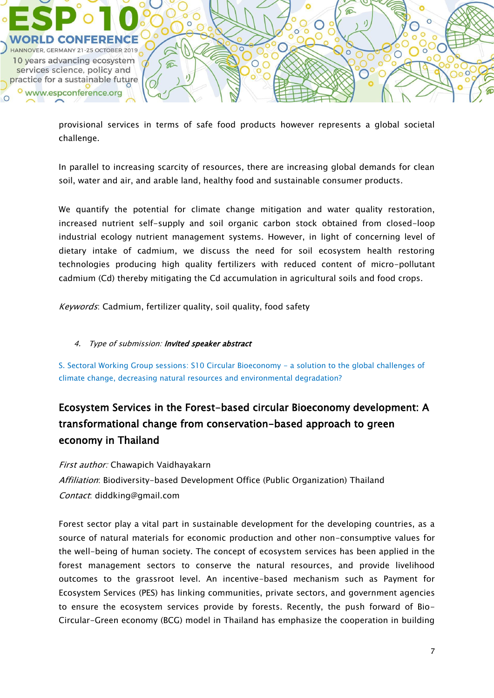

provisional services in terms of safe food products however represents a global societal challenge.

In parallel to increasing scarcity of resources, there are increasing global demands for clean soil, water and air, and arable land, healthy food and sustainable consumer products.

We quantify the potential for climate change mitigation and water quality restoration, increased nutrient self-supply and soil organic carbon stock obtained from closed-loop industrial ecology nutrient management systems. However, in light of concerning level of dietary intake of cadmium, we discuss the need for soil ecosystem health restoring technologies producing high quality fertilizers with reduced content of micro-pollutant cadmium (Cd) thereby mitigating the Cd accumulation in agricultural soils and food crops.

Keywords: Cadmium, fertilizer quality, soil quality, food safety

## 4. Type of submission: Invited speaker abstract

S. Sectoral Working Group sessions: S10 Circular Bioeconomy - a solution to the global challenges of climate change, decreasing natural resources and environmental degradation?

# Ecosystem Services in the Forest-based circular Bioeconomy development: A transformational change from conservation-based approach to green economy in Thailand

First author: Chawapich Vaidhayakarn Affiliation: Biodiversity-based Development Office (Public Organization) Thailand Contact: diddking@gmail.com

Forest sector play a vital part in sustainable development for the developing countries, as a source of natural materials for economic production and other non-consumptive values for the well-being of human society. The concept of ecosystem services has been applied in the forest management sectors to conserve the natural resources, and provide livelihood outcomes to the grassroot level. An incentive-based mechanism such as Payment for Ecosystem Services (PES) has linking communities, private sectors, and government agencies to ensure the ecosystem services provide by forests. Recently, the push forward of Bio-Circular-Green economy (BCG) model in Thailand has emphasize the cooperation in building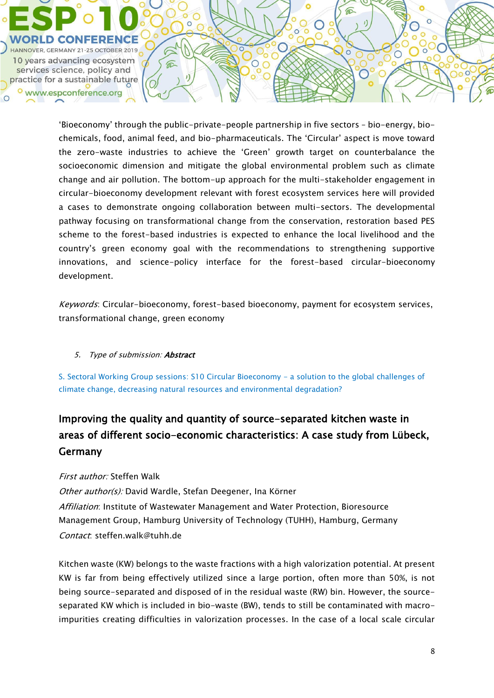

'Bioeconomy' through the public-private-people partnership in five sectors – bio-energy, biochemicals, food, animal feed, and bio-pharmaceuticals. The 'Circular' aspect is move toward the zero-waste industries to achieve the 'Green' growth target on counterbalance the socioeconomic dimension and mitigate the global environmental problem such as climate change and air pollution. The bottom-up approach for the multi-stakeholder engagement in circular-bioeconomy development relevant with forest ecosystem services here will provided a cases to demonstrate ongoing collaboration between multi-sectors. The developmental pathway focusing on transformational change from the conservation, restoration based PES scheme to the forest-based industries is expected to enhance the local livelihood and the country's green economy goal with the recommendations to strengthening supportive innovations, and science-policy interface for the forest-based circular-bioeconomy development.

Keywords: Circular-bioeconomy, forest-based bioeconomy, payment for ecosystem services, transformational change, green economy

## 5. Type of submission: **Abstract**

S. Sectoral Working Group sessions: S10 Circular Bioeconomy - a solution to the global challenges of climate change, decreasing natural resources and environmental degradation?

# Improving the quality and quantity of source-separated kitchen waste in areas of different socio-economic characteristics: A case study from Lübeck, **Germany**

## First author: Steffen Walk

Other author(s): David Wardle, Stefan Deegener, Ina Körner Affiliation: Institute of Wastewater Management and Water Protection, Bioresource Management Group, Hamburg University of Technology (TUHH), Hamburg, Germany Contact: steffen.walk@tuhh.de

Kitchen waste (KW) belongs to the waste fractions with a high valorization potential. At present KW is far from being effectively utilized since a large portion, often more than 50%, is not being source-separated and disposed of in the residual waste (RW) bin. However, the sourceseparated KW which is included in bio-waste (BW), tends to still be contaminated with macroimpurities creating difficulties in valorization processes. In the case of a local scale circular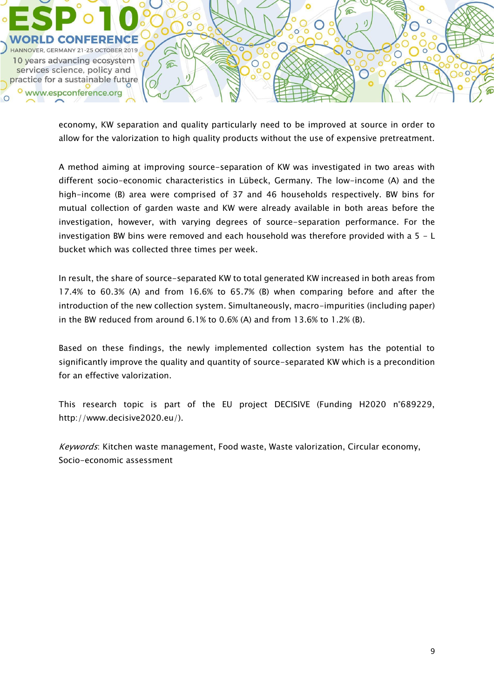

economy, KW separation and quality particularly need to be improved at source in order to allow for the valorization to high quality products without the use of expensive pretreatment.

A method aiming at improving source-separation of KW was investigated in two areas with different socio-economic characteristics in Lübeck, Germany. The low-income (A) and the high-income (B) area were comprised of 37 and 46 households respectively. BW bins for mutual collection of garden waste and KW were already available in both areas before the investigation, however, with varying degrees of source-separation performance. For the investigation BW bins were removed and each household was therefore provided with a  $5 - L$ bucket which was collected three times per week.

In result, the share of source-separated KW to total generated KW increased in both areas from 17.4% to 60.3% (A) and from 16.6% to 65.7% (B) when comparing before and after the introduction of the new collection system. Simultaneously, macro-impurities (including paper) in the BW reduced from around 6.1% to 0.6% (A) and from 13.6% to 1.2% (B).

Based on these findings, the newly implemented collection system has the potential to significantly improve the quality and quantity of source-separated KW which is a precondition for an effective valorization.

This research topic is part of the EU project DECISIVE (Funding H2020 n°689229, http://www.decisive2020.eu/).

Keywords: Kitchen waste management, Food waste, Waste valorization, Circular economy, Socio-economic assessment